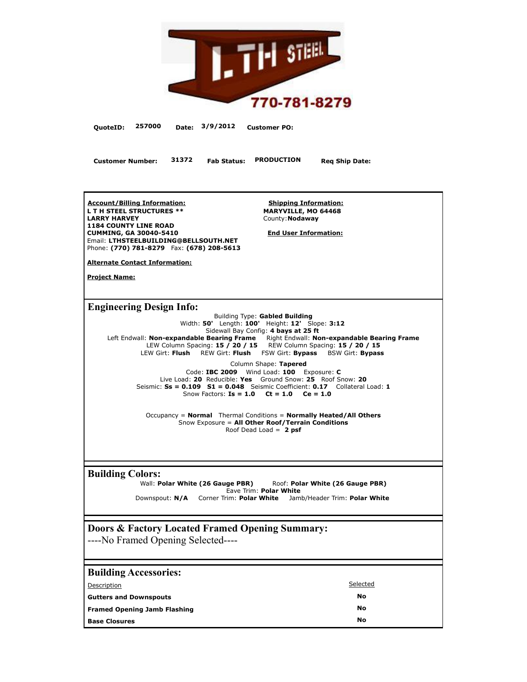

**QuoteID: 257000 Date: 3/9/2012 Customer PO:**

**Customer Number: 31372 Fab Status: PRODUCTION Req Ship Date:**

**Account/Billing Information: L T H STEEL STRUCTURES \*\* LARRY HARVEY 1184 COUNTY LINE ROAD CUMMING, GA 30040-5410** Email: **LTHSTEELBUILDING@BELLSOUTH.NET** Phone: **(770) 781-8279** Fax: **(678) 208-5613**

**Shipping Information: MARYVILLE, MO 64468** County:**Nodaway**

**End User Information:**

**Alternate Contact Information:**

**Project Name:**

**Engineering Design Info:**

Building Type: **Gabled Building** Width: **50'** Length: **100'** Height: **12'** Slope: **3:12** Sidewall Bay Config: **4 bays at 25 ft**  Left Endwall: **Non-expandable Bearing Frame** Right Endwall: **Non-expandable Bearing Frame** LEW Column Spacing: **15 / 20 / 15** REW Column Spacing: **15 / 20 / 15** LEW Girt: **Flush** REW Girt: **Flush** FSW Girt: **Bypass** BSW Girt: **Bypass**

Column Shape: **Tapered** Code: **IBC 2009** Wind Load: **100** Exposure: **C** Live Load: **20** Reducible: **Yes** Ground Snow: **25** Roof Snow: **20** Seismic: **Ss = 0.109 S1 = 0.048** Seismic Coefficient: **0.17** Collateral Load: **1** Snow Factors: **Is = 1.0 Ct = 1.0 Ce = 1.0**

Occupancy = **Normal** Thermal Conditions = **Normally Heated/All Others** Snow Exposure = **All Other Roof/Terrain Conditions** Roof Dead Load = **2 psf**

**Building Colors:**<br>Wall: Polar White (26 Gauge PBR) Wall: **Polar White (26 Gauge PBR)** Roof: **Polar White (26 Gauge PBR)** Eave Trim: **Polar White** Downspout: **N/A** Corner Trim: **Polar White** Jamb/Header Trim: **Polar White**

# **Doors & Factory Located Framed Opening Summary:**

----No Framed Opening Selected----

| <b>Building Accessories:</b>        |           |
|-------------------------------------|-----------|
| Description                         | Selected  |
| <b>Gutters and Downspouts</b>       | No        |
| <b>Framed Opening Jamb Flashing</b> | <b>No</b> |
| <b>Base Closures</b>                | No        |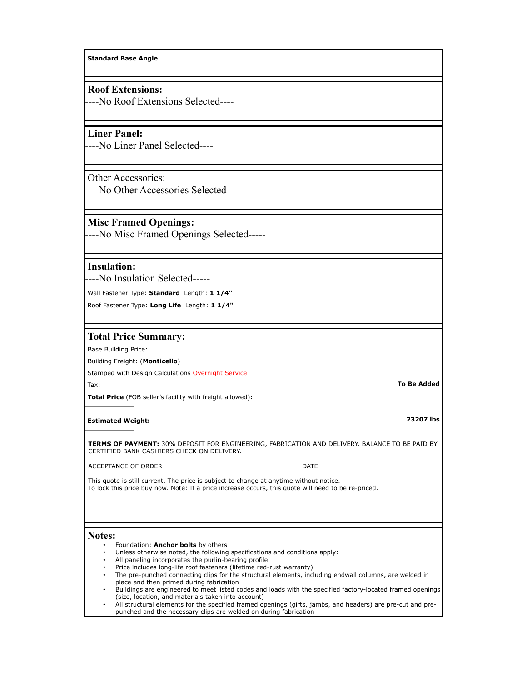**Standard Base Angle**

## **Roof Extensions:**

----No Roof Extensions Selected----

## **Liner Panel:**

----No Liner Panel Selected----

## Other Accessories:

----No Other Accessories Selected----

## **Misc Framed Openings:**

----No Misc Framed Openings Selected-----

## **Insulation:**

----No Insulation Selected-----

Wall Fastener Type: **Standard** Length: **1 1/4"**

Roof Fastener Type: **Long Life** Length: **1 1/4"**

## **Total Price Summary:**

Base Building Price:

### Building Freight: (**Monticello**)

Stamped with Design Calculations Overnight Service Tax: **To Be Added**

**Total Price** (FOB seller's facility with freight allowed)**:**

# **Estimated Weight: 23207 lbs**

**TERMS OF PAYMENT:** 30% DEPOSIT FOR ENGINEERING, FABRICATION AND DELIVERY. BALANCE TO BE PAID BY CERTIFIED BANK CASHIERS CHECK ON DELIVERY.

#### ACCEPTANCE OF ORDER **Extending the UNITE**

This quote is still current. The price is subject to change at anytime without notice. To lock this price buy now. Note: If a price increase occurs, this quote will need to be re-priced.

## **Notes:**

- Foundation: **Anchor bolts** by others
- Unless otherwise noted, the following specifications and conditions apply:
- All paneling incorporates the purlin-bearing profile
- Price includes long-life roof fasteners (lifetime red-rust warranty)
- The pre-punched connecting clips for the structural elements, including endwall columns, are welded in place and then primed during fabrication
- Buildings are engineered to meet listed codes and loads with the specified factory-located framed openings (size, location, and materials taken into account)
- All structural elements for the specified framed openings (girts, jambs, and headers) are pre-cut and prepunched and the necessary clips are welded on during fabrication